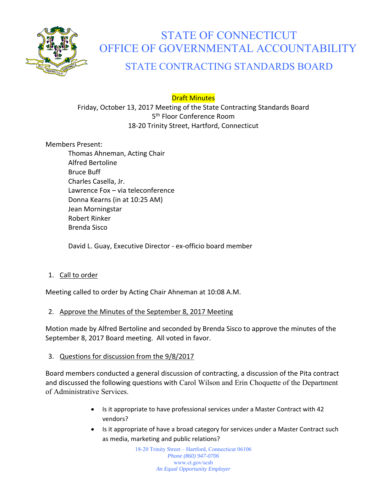

# STATE OF CONNECTICUT OFFICE OF GOVERNMENTAL ACCOUNTABILITY

# STATE CONTRACTING STANDARDS BOARD

Draft Minutes

Friday, October 13, 2017 Meeting of the State Contracting Standards Board 5<sup>th</sup> Floor Conference Room 18‐20 Trinity Street, Hartford, Connecticut

Members Present:

Thomas Ahneman, Acting Chair Alfred Bertoline Bruce Buff Charles Casella, Jr. Lawrence Fox – via teleconference Donna Kearns (in at 10:25 AM) Jean Morningstar Robert Rinker Brenda Sisco

David L. Guay, Executive Director ‐ ex‐officio board member

# 1. Call to order

Meeting called to order by Acting Chair Ahneman at 10:08 A.M.

# 2. Approve the Minutes of the September 8, 2017 Meeting

Motion made by Alfred Bertoline and seconded by Brenda Sisco to approve the minutes of the September 8, 2017 Board meeting. All voted in favor.

#### 3. Questions for discussion from the 9/8/2017

Board members conducted a general discussion of contracting, a discussion of the Pita contract and discussed the following questions with Carol Wilson and Erin Choquette of the Department of Administrative Services.

- Is it appropriate to have professional services under a Master Contract with 42 vendors?
- Is it appropriate of have a broad category for services under a Master Contract such as media, marketing and public relations?

18-20 Trinity Street – Hartford, Connecticut 06106 *Phone (860) 947-0706*  www.ct.gov/scsb *An Equal Opportunity Employer*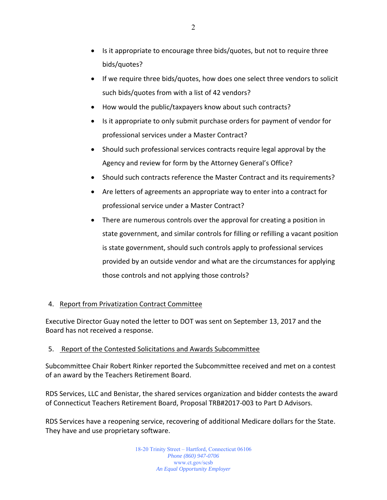- Is it appropriate to encourage three bids/quotes, but not to require three bids/quotes?
- If we require three bids/quotes, how does one select three vendors to solicit such bids/quotes from with a list of 42 vendors?
- How would the public/taxpayers know about such contracts?
- Is it appropriate to only submit purchase orders for payment of vendor for professional services under a Master Contract?
- Should such professional services contracts require legal approval by the Agency and review for form by the Attorney General's Office?
- Should such contracts reference the Master Contract and its requirements?
- Are letters of agreements an appropriate way to enter into a contract for professional service under a Master Contract?
- There are numerous controls over the approval for creating a position in state government, and similar controls for filling or refilling a vacant position is state government, should such controls apply to professional services provided by an outside vendor and what are the circumstances for applying those controls and not applying those controls?

# 4. Report from Privatization Contract Committee

Executive Director Guay noted the letter to DOT was sent on September 13, 2017 and the Board has not received a response.

#### 5. Report of the Contested Solicitations and Awards Subcommittee

Subcommittee Chair Robert Rinker reported the Subcommittee received and met on a contest of an award by the Teachers Retirement Board.

RDS Services, LLC and Benistar, the shared services organization and bidder contests the award of Connecticut Teachers Retirement Board, Proposal TRB#2017‐003 to Part D Advisors.

RDS Services have a reopening service, recovering of additional Medicare dollars for the State. They have and use proprietary software.

> 18-20 Trinity Street – Hartford, Connecticut 06106 *Phone (860) 947-0706*  www.ct.gov/scsb *An Equal Opportunity Employer*